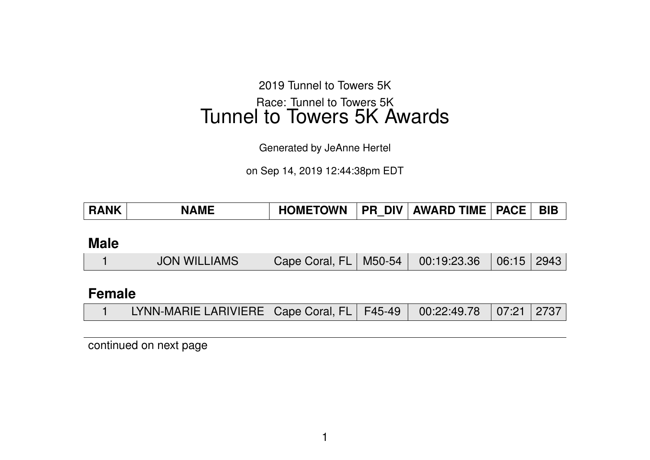2019 Tunnel to Towers 5K Race: Tunnel to Towers 5K Tunnel to Towers 5K Awards

Generated by JeAnne Hertel

on Sep 14, 2019 12:44:38pm EDT

| <b>HOMETOWN</b><br><b>PR DIV AWARD TIME</b><br><b>PACE</b><br><b>RANK</b><br><b>NAME</b> | <b>BIB</b> |
|------------------------------------------------------------------------------------------|------------|
|------------------------------------------------------------------------------------------|------------|

**Male**

|  | <b>JON WILLIAMS</b> | Cape Coral, FL   M50-54   00:19:23.36   06:15   2943 |  |  |  |  |
|--|---------------------|------------------------------------------------------|--|--|--|--|
|--|---------------------|------------------------------------------------------|--|--|--|--|

### **Female**

|  | LYNN-MARIE LARIVIERE   Cape Coral, FL   F45-49   00:22:49.78   07:21   2737 |  |  |  |  |  |
|--|-----------------------------------------------------------------------------|--|--|--|--|--|
|--|-----------------------------------------------------------------------------|--|--|--|--|--|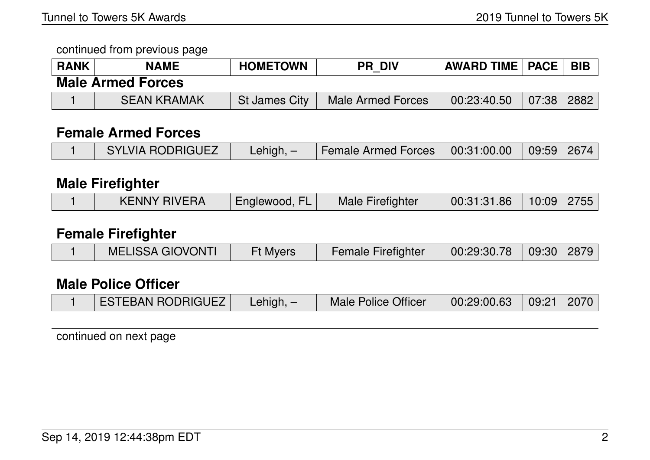| <b>RANK</b> | <b>NAME</b>              | <b>HOMETOWN</b>      | <b>PR DIV</b>            | <b>AWARD TIME   PACE  </b> |       | <b>BIB</b> |
|-------------|--------------------------|----------------------|--------------------------|----------------------------|-------|------------|
|             | <b>Male Armed Forces</b> |                      |                          |                            |       |            |
|             | <b>SEAN KRAMAK</b>       | <b>St James City</b> | <b>Male Armed Forces</b> | 00:23:40.50                | 07:38 | 2882       |

### **Female Armed Forces**

|  | SYLVIA RODRIGUEZ | $\mathsf{Lehigh}, -$ | Female Armed Forces   00:31:00.00   09:59   2674 |  |  |  |
|--|------------------|----------------------|--------------------------------------------------|--|--|--|
|--|------------------|----------------------|--------------------------------------------------|--|--|--|

### **Male Firefighter**

|  | <b>KENNY RIVERA</b> | Englewood, | Male Firefighter | 00:31:31.86 | $10:09$   2755 |  |
|--|---------------------|------------|------------------|-------------|----------------|--|
|--|---------------------|------------|------------------|-------------|----------------|--|

#### **Female Firefighter**

|  | <b>MELISSA GIOVONTI</b> | <b>Ft Myers</b> | <b>Female Firefighter</b> | $00:29:30.78$ 09:30 2879 |  |  |
|--|-------------------------|-----------------|---------------------------|--------------------------|--|--|
|--|-------------------------|-----------------|---------------------------|--------------------------|--|--|

#### **Male Police Officer**

|  | <b>ESTEBAN RODRIGUEZ</b> | Lehigh, $-$ | Male Police Officer | $\vert$ 00:29:00.63 $\vert$ 09:21 $\vert$ 2070 $\vert$ |  |  |
|--|--------------------------|-------------|---------------------|--------------------------------------------------------|--|--|
|--|--------------------------|-------------|---------------------|--------------------------------------------------------|--|--|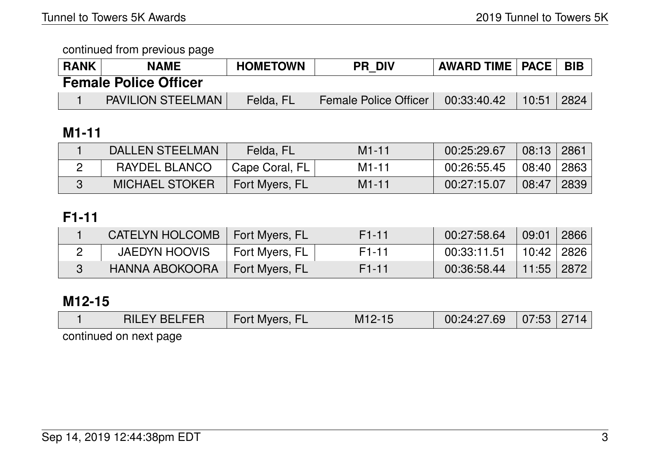| <b>RANK</b> | <b>NAME</b>                  | <b>HOMETOWN</b> | <b>PR DIV</b>         | <b>AWARD TIME   PACE  </b> |       | <b>BIB</b> |
|-------------|------------------------------|-----------------|-----------------------|----------------------------|-------|------------|
|             | <b>Female Police Officer</b> |                 |                       |                            |       |            |
|             | <b>PAVILION STEELMAN</b>     | Felda, FL       | Female Police Officer | 00:33:40.42                | 10:51 | 2824       |

# **M1-11**

| <b>DALLEN STEELMAN</b> | Felda, FL      | $M1 - 11$          | 00:25:29.67 | 08:13 | 2861 |
|------------------------|----------------|--------------------|-------------|-------|------|
| RAYDEL BLANCO          | Cape Coral, FL | M <sub>1</sub> -11 | 00:26:55.45 | 08:40 | 2863 |
| <b>MICHAEL STOKER</b>  | Fort Myers, FL | $M1 - 11$          | 00:27:15.07 | 08:47 | 2839 |

# **F1-11**

| <b>CATELYN HOLCOMB</b> | Fort Myers, FL | F <sub>1</sub> -11 | 00:27:58.64 | 09:01        | 2866 |
|------------------------|----------------|--------------------|-------------|--------------|------|
| <b>JAEDYN HOOVIS</b>   | Fort Myers, FL | F <sub>1</sub> -11 | 00:33:11.51 | 10:42   2826 |      |
| <b>HANNA ABOKOORA</b>  | Fort Myers, FL | F <sub>1</sub> -11 | 00:36:58.44 | 11:55   2872 |      |

# **M12-15**

| RILE<br>$\mathbf{v}$ | Myers,<br><b>Fort</b> | M<br>ンー | .69<br>00:24:27<br>T . <i>c</i> / | 07:53<br>uu | 2714 |
|----------------------|-----------------------|---------|-----------------------------------|-------------|------|
|                      |                       |         |                                   |             |      |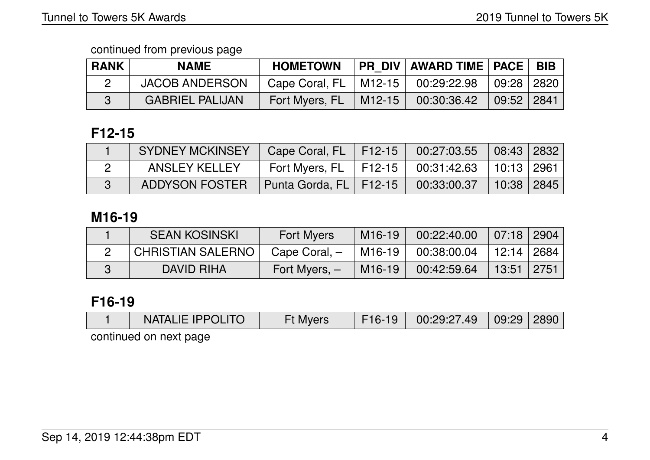| <b>RANK</b> | <b>NAME</b>            | <b>HOMETOWN</b>  |               | PR_DIV   AWARD TIME   PACE   BIB |              |  |
|-------------|------------------------|------------------|---------------|----------------------------------|--------------|--|
|             | <b>JACOB ANDERSON</b>  | Cape Coral, $FL$ | 「M12-15 」     | $00:29:22.98$ 09:28 2820         |              |  |
|             | <b>GABRIEL PALIJAN</b> | Fort Myers, FL   | $\mid$ M12-15 | 00:30:36.42                      | 09:52   2841 |  |

### **F12-15**

| SYDNEY MCKINSEY       | Cape Coral, FL   F12-15   00:27:03.55   08:43   2832 |                           |            |  |
|-----------------------|------------------------------------------------------|---------------------------|------------|--|
| <b>ANSLEY KELLEY</b>  | Fort Myers, FL   F12-15   00:31:42.63   10:13   2961 |                           |            |  |
| <b>ADDYSON FOSTER</b> | Punta Gorda, FL   F12-15                             | $00:33:00.37$ $\parallel$ | 10:38 2845 |  |

## **M16-19**

| <b>SEAN KOSINSKI</b>     | <b>Fort Myers</b> | M <sub>16</sub> -19 | 00:22:40.00                  | 07:18 2904     |  |
|--------------------------|-------------------|---------------------|------------------------------|----------------|--|
| <b>CHRISTIAN SALERNO</b> | Cape Coral, -     | M16-19              | $00:38:00.04$   12:14   2684 |                |  |
| DAVID RIHA               | Fort Myers, $-$   | M <sub>16</sub> -19 | 00:42:59.64                  | │ 13:51 │ 2751 |  |

## **F16-19**

| F16-19   00:29:27.49   09:29   2890  <br><b>NATALIE IPPOLITO</b><br><b>Ft Myers</b> |
|-------------------------------------------------------------------------------------|
|-------------------------------------------------------------------------------------|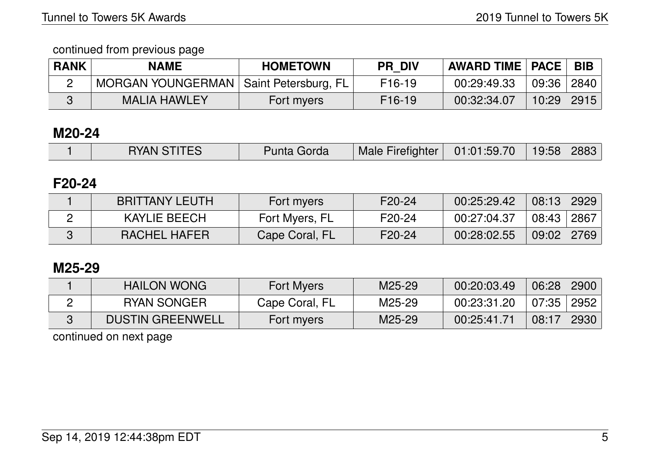| <b>RANK</b> | <b>NAME</b>                              | <b>HOMETOWN</b> | <b>PR DIV</b>       | $\mid$ AWARD TIME $\mid$ PACE $\mid$ |       | <b>BIB</b> |
|-------------|------------------------------------------|-----------------|---------------------|--------------------------------------|-------|------------|
|             | MORGAN YOUNGERMAN   Saint Petersburg, FL |                 | F <sub>16</sub> -19 | 00:29:49.33                          | 09:36 | 2840       |
|             | <b>MALIA HAWLEY</b>                      | Fort myers      | F <sub>16</sub> -19 | 00:32:34.07                          | 10:29 | 2915       |

### **M20-24**

|  | <b>RYAN STITES</b> | Punta Gorda | Male Firefighter   01:01:59.70   19:58   2883 |  |  |  |
|--|--------------------|-------------|-----------------------------------------------|--|--|--|
|--|--------------------|-------------|-----------------------------------------------|--|--|--|

### **F20-24**

| <b>BRITTANY LEUTH</b> | Fort myers     | F <sub>20</sub> -24 | 00:25:29.42 | 08:13             | 2929 |
|-----------------------|----------------|---------------------|-------------|-------------------|------|
| KAYLIE BEECH          | Fort Myers, FL | F20-24              | 00:27:04.37 | $\pm$ 08:43 $\pm$ | 2867 |
| RACHEL HAFER          | Cape Coral, FL | F20-24              | 00:28:02.55 | 09:02             | 2769 |

#### **M25-29**

| <b>HAILON WONG</b>      | <b>Fort Myers</b> | M25-29 | 00:20:03.49 | 06:28 | 2900 |
|-------------------------|-------------------|--------|-------------|-------|------|
| RYAN SONGER             | Cape Coral, FL    | M25-29 | 00:23:31.20 | 07:35 | 2952 |
| <b>DUSTIN GREENWELL</b> | Fort myers        | M25-29 | 00:25:41.71 | 08:17 | 2930 |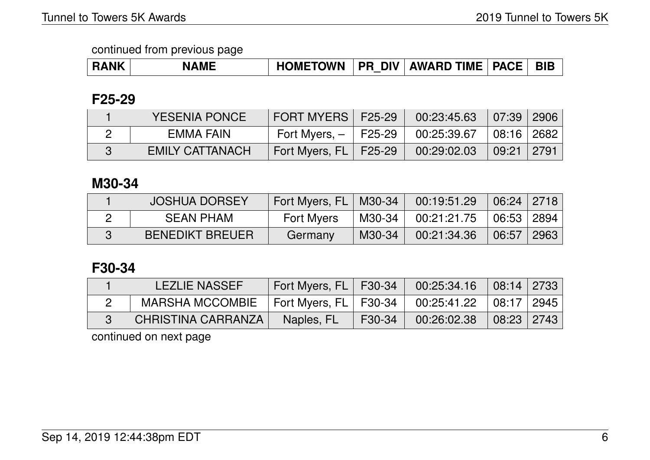| <b>RANK</b> | <b>NAME</b> | <b>HOMETOWN</b> |  | <b>PR DIV AWARD TIME   PACE  </b> |  | <b>BIB</b> |
|-------------|-------------|-----------------|--|-----------------------------------|--|------------|
|-------------|-------------|-----------------|--|-----------------------------------|--|------------|

### **F25-29**

| <b>YESENIA PONCE</b>   | <b>FORT MYERS F25-29</b> |               | $00:23:45.63$ 07:39 2906 |                   |  |
|------------------------|--------------------------|---------------|--------------------------|-------------------|--|
| EMMA FAIN              | Fort Myers, $ \parallel$ | $\mid$ F25-29 | 00:25:39.67              | $\mid$ 08:16 2682 |  |
| <b>EMILY CATTANACH</b> | Fort Myers, FL   F25-29  |               | 00:29:02.03              | ∣ 09:21 ∣ 2791    |  |

### **M30-34**

| <b>JOSHUA DORSEY</b>   | Fort Myers, FL   M30-34 |        | $\set{00:19:51.29}$ 06:24 2718 |              |  |
|------------------------|-------------------------|--------|--------------------------------|--------------|--|
| <b>SEAN PHAM</b>       | <b>Fort Myers</b>       | M30-34 | $00:21:21.75$ .                | 06:53   2894 |  |
| <b>BENEDIKT BREUER</b> | Germany                 | M30-34 | 00:21:34.36                    | $06:57$ 2963 |  |

#### **F30-34**

| <b>LEZLIE NASSEF</b> | Fort Myers, $FL$   F30-34 |                 | $00:25:34.16$ 08:14 2733   |  |
|----------------------|---------------------------|-----------------|----------------------------|--|
| MARSHA MCCOMBIE      | Fort Myers, FL   F30-34   |                 | $00:25:41.22$ 08:17 2945   |  |
| CHRISTINA CARRANZA   | Naples, FL                | $\sqrt{530-34}$ | $00:26:02.38$ $08:23$ 2743 |  |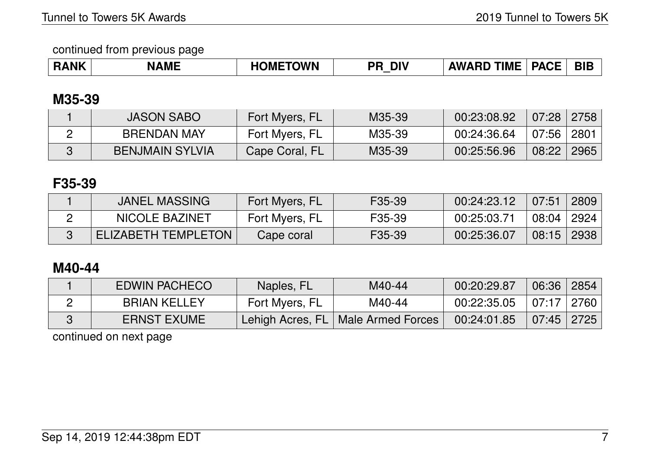| <b>RANK</b> | <b>NAME</b> | <b>OMETOWN</b> | <b>DIV</b><br>$\mathbf{P}_{\mathbf{H}}$ | <b>TIME</b><br>AWA<br>.RD | <b>PACE</b><br>NJL | <b>BIE</b> |
|-------------|-------------|----------------|-----------------------------------------|---------------------------|--------------------|------------|
|-------------|-------------|----------------|-----------------------------------------|---------------------------|--------------------|------------|

### **M35-39**

| <b>JASON SABO</b>      | Fort Myers, FL | M35-39 | 00:23:08.92 | 07:28 | 2758 |
|------------------------|----------------|--------|-------------|-------|------|
| <b>BRENDAN MAY</b>     | Fort Myers, FL | M35-39 | 00:24:36.64 | 07:56 | 2801 |
| <b>BENJMAIN SYLVIA</b> | Cape Coral, FL | M35-39 | 00:25:56.96 | 08:22 | 2965 |

## **F35-39**

| JANEL MASSING       | Fort Myers, FL | F35-39              | 00:24:23.12 | 07:51        | 2809 |
|---------------------|----------------|---------------------|-------------|--------------|------|
| NICOLE BAZINET      | Fort Myers, FL | F <sub>35</sub> -39 | 00:25:03.71 | $-08:04$ $+$ | 2924 |
| ELIZABETH TEMPLETON | Cape coral     | F <sub>35</sub> -39 | 00:25:36.07 | 08:15        | 2938 |

### **M40-44**

| <b>EDWIN PACHECO</b> | Naples, FL     | M40-44                               | 00:20:29.87 | 06:36 2854   |          |
|----------------------|----------------|--------------------------------------|-------------|--------------|----------|
| <b>BRIAN KELLEY</b>  | Fort Myers, FL | M40-44                               | 00:22:35.05 | 07:17        | l 2760 l |
| <b>ERNST EXUME</b>   |                | Lehigh Acres, FL   Male Armed Forces | 00:24:01.85 | $07:45$ 2725 |          |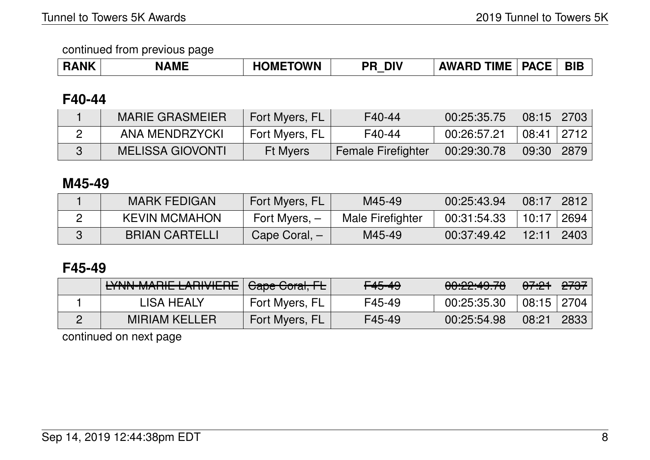| <b>INK</b> | <b>AME</b><br>N/ | TOWN<br>MI<br>−™ | <b>DIV</b><br>DE | <b>TIMF</b><br><b>\W/</b><br>`n∟ | ПА ЛГ<br>OΔ.<br>AUC | <b>BIB</b> |
|------------|------------------|------------------|------------------|----------------------------------|---------------------|------------|
|------------|------------------|------------------|------------------|----------------------------------|---------------------|------------|

#### **F40-44**

| <b>MARIE GRASMEIER</b>  | Fort Myers, FL  | F40-44                    | 00:25:35.75 | 08:15 | 2703            |
|-------------------------|-----------------|---------------------------|-------------|-------|-----------------|
| ANA MENDRZYCKI          | Fort Myers, FL  | F40-44                    | 00:26:57.21 | 08:41 | $^{\circ}$ 2712 |
| <b>MELISSA GIOVONTI</b> | <b>Ft Myers</b> | <b>Female Firefighter</b> | 00:29:30.78 | 09:30 | 2879            |

#### **M45-49**

| <b>MARK FEDIGAN</b>   | Fort Myers, FL  | M45-49           | 00:25:43.94 | 08:17 | $\sqrt{2812}$ |
|-----------------------|-----------------|------------------|-------------|-------|---------------|
| <b>KEVIN MCMAHON</b>  | Fort Myers, $-$ | Male Firefighter | 00:31:54.33 | 10:17 | 2694          |
| <b>BRIAN CARTELLI</b> | Cape Coral, -   | M45-49           | 00:37:49.42 | 12:11 | 2403          |

#### **F45-49**

| EYNN-MARIE LARIVIERE Gape Coral, FL |                | <del>F45-49</del> | 0.00.10.70<br><del>00.22.49.70</del> | <del>07:21</del> | <del>2737</del> |
|-------------------------------------|----------------|-------------------|--------------------------------------|------------------|-----------------|
| LISA HEALY                          | Fort Myers, FL | F45-49            | 00:25:35.30                          | 08:15            | 2704            |
| <b>MIRIAM KELLER</b>                | Fort Myers, FL | F45-49            | 00:25:54.98                          | 08:21            | 2833            |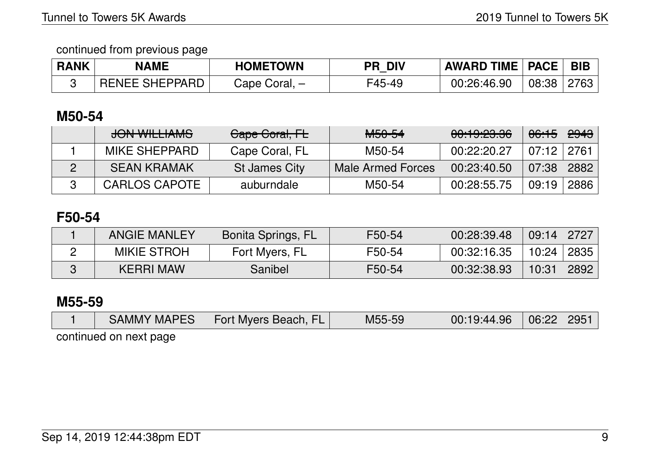| <b>RANK</b> | <b>NAME</b>           | <b>HOMETOWN</b> | <b>DIV</b><br>PR. | <b>AWARD TIME   PACE  </b> |       | <b>BIB</b> |
|-------------|-----------------------|-----------------|-------------------|----------------------------|-------|------------|
|             | <b>RENEE SHEPPARD</b> | Cape Coral, –   | F45-49            | 00:26:46.90                | 08:38 | 2763       |

### **M50-54**

| JONI WILL LANAC<br><del>JUN WILLIAMJ</del> | Cape Coral, FL | <del>M50-54</del> | <u>AA. 1 A. AA AA </u><br><del>uu.id.zu.uu</del> | <del>06:15</del> | <del>2943</del> |
|--------------------------------------------|----------------|-------------------|--------------------------------------------------|------------------|-----------------|
| MIKE SHEPPARD                              | Cape Coral, FL | M50-54            | 00:22:20.27                                      | 07:12   2761     |                 |
| <b>SEAN KRAMAK</b>                         | St James City  | Male Armed Forces | 00:23:40.50                                      | $\sqrt{07:}38$   | 2882            |
| CARLOS CAPOTE                              | auburndale     | M50-54            | 00:28:55.75                                      | 09:19            | 2886            |

## **F50-54**

| <b>ANGIE MANLEY</b> | Bonita Springs, FL | F50-54 | 00:28:39.48 | 09:14 | 2727 |
|---------------------|--------------------|--------|-------------|-------|------|
| <b>MIKIE STROH</b>  | Fort Myers, FL     | F50-54 | 00:32:16.35 | 10:24 | 2835 |
| <b>KERRI MAW</b>    | Sanibel            | F50-54 | 00:32:38.93 | 10:31 | 2892 |

# **M55-59**

|  |  | <b>SAMMY MAPES</b> | <b>Fort Myers Beach, FL</b> | M55-59 | 00:19:44.96 | $06:22 \mid 2951$ |  |
|--|--|--------------------|-----------------------------|--------|-------------|-------------------|--|
|--|--|--------------------|-----------------------------|--------|-------------|-------------------|--|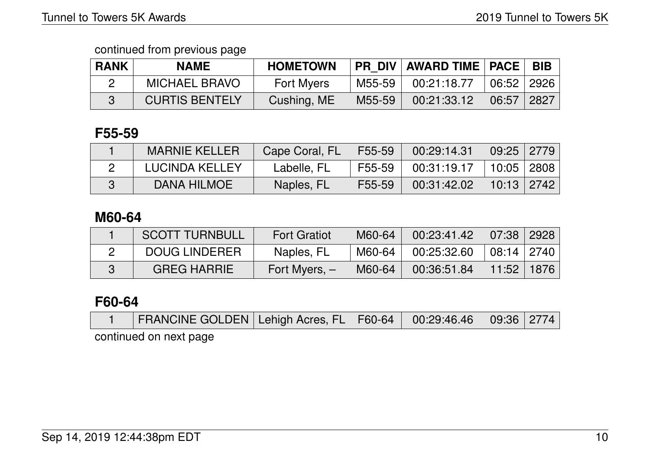| <b>RANK</b> | <b>NAME</b>           | <b>HOMETOWN</b>   |        | PR_DIV   AWARD TIME   PACE |                                    | <b>BIB</b> |
|-------------|-----------------------|-------------------|--------|----------------------------|------------------------------------|------------|
|             | <b>MICHAEL BRAVO</b>  | <b>Fort Myers</b> | M55-59 | 00:21:18.77                | $\vert$ 06:52 $\vert$ 2926 $\vert$ |            |
|             | <b>CURTIS BENTELY</b> | Cushing, ME       | M55-59 | 00:21:33.12                | $06:57$   2827                     |            |

#### **F55-59**

| <b>MARNIE KELLER</b>  | Cape Coral, FL | F55-59 | 00:29:14.31                                        | $\vert$ 09:25 $\vert$ 2779 $\vert$ |  |
|-----------------------|----------------|--------|----------------------------------------------------|------------------------------------|--|
| <b>LUCINDA KELLEY</b> | Labelle, FL    | F55-59 | $\mid$ 00:31:19.17 $\mid$ 10:05 $\mid$ 2808 $\mid$ |                                    |  |
| DANA HILMOE           | Naples, FL     | F55-59 | 00:31:42.02                                        | 10:13 2742                         |  |

### **M60-64**

| <b>SCOTT TURNBULL</b> | <b>Fort Gratiot</b> | M60-64 | 00:23:41.42 | $\mid$ 07:38 $\mid$ 2928 $\mid$    |  |
|-----------------------|---------------------|--------|-------------|------------------------------------|--|
| <b>DOUG LINDERER</b>  | Naples, FL          | M60-64 | 00:25:32.60 | $\vert$ 08:14 $\vert$ 2740 $\vert$ |  |
| <b>GREG HARRIE</b>    | Fort Myers, $-$     | M60-64 | 00:36:51.84 | 11:52 1876                         |  |

### **F60-64**

|  |  | FRANCINE GOLDEN   Lehigh Acres, FL   F60-64   00:29:46.46   09:36   2774 |  |  |  |  |  |
|--|--|--------------------------------------------------------------------------|--|--|--|--|--|
|--|--|--------------------------------------------------------------------------|--|--|--|--|--|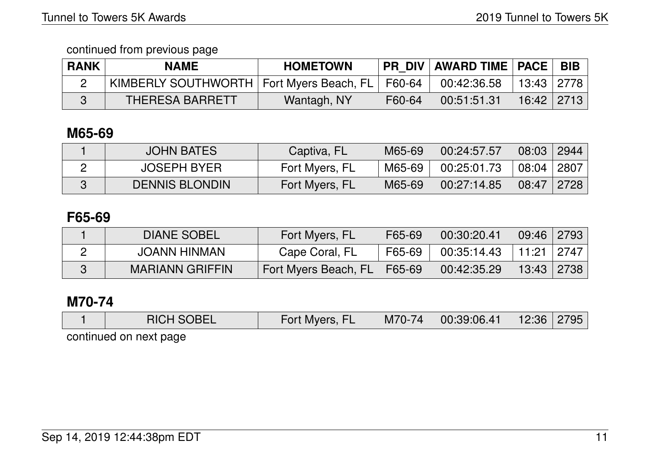| <b>RANK</b> | <b>NAME</b>                                         | <b>HOMETOWN</b> |        | <b>PR DIV   AWARD TIME   PACE  </b> |              | <b>BIB</b> |
|-------------|-----------------------------------------------------|-----------------|--------|-------------------------------------|--------------|------------|
|             | KIMBERLY SOUTHWORTH   Fort Myers Beach, FL   F60-64 |                 |        | 00:42:36.58                         | 13:43   2778 |            |
|             | <b>THERESA BARRETT</b>                              | Wantagh, NY     | F60-64 | 00:51:51.31                         | 16:42   2713 |            |

### **M65-69**

| <b>JOHN BATES</b>     | Captiva, FL    | M65-69 | 00:24:57.57 | 08:03 | 2944 |
|-----------------------|----------------|--------|-------------|-------|------|
| <b>JOSEPH BYER</b>    | Fort Myers, FL | M65-69 | 00:25:01.73 | 08:04 | 2807 |
| <b>DENNIS BLONDIN</b> | Fort Myers, FL | M65-69 | 00:27:14.85 | 08:47 | 2728 |

## **F65-69**

| <b>DIANE SOBEL</b>     | Fort Myers, FL       | F65-69 | 00:30:20.41 | 09:46   2793 |      |
|------------------------|----------------------|--------|-------------|--------------|------|
| JOANN HINMAN           | Cape Coral, FL       | F65-69 | 00:35:14.43 | 11:21 2747   |      |
| <b>MARIANN GRIFFIN</b> | Fort Myers Beach, FL | F65-69 | 00:42:35.29 | 13:43        | 2738 |

# **M70-74**

| <b>RICH SOBEL</b> | Fort Myers, | M70-74 | 00:39:06.41 | 12:36 | 2795 |
|-------------------|-------------|--------|-------------|-------|------|
|                   |             |        |             |       |      |